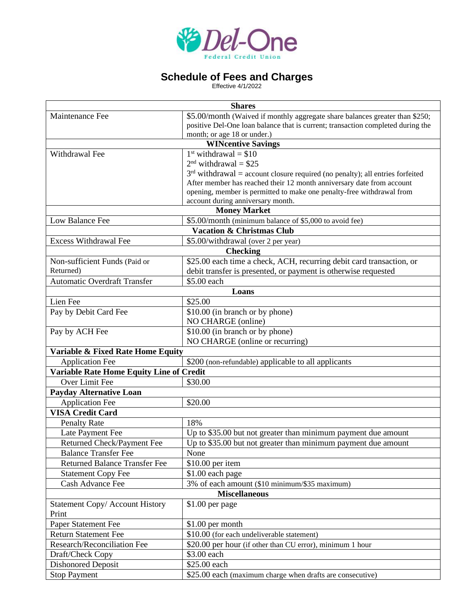

## **Schedule of Fees and Charges**

Effective 4/1/2022

| <b>Shares</b>                                                             |                                                                                 |  |
|---------------------------------------------------------------------------|---------------------------------------------------------------------------------|--|
| Maintenance Fee                                                           | \$5.00/month (Waived if monthly aggregate share balances greater than \$250;    |  |
|                                                                           | positive Del-One loan balance that is current; transaction completed during the |  |
|                                                                           | month; or age 18 or under.)                                                     |  |
| <b>WINcentive Savings</b>                                                 |                                                                                 |  |
| Withdrawal Fee                                                            | $1st$ withdrawal = \$10                                                         |  |
|                                                                           | $2nd$ withdrawal = \$25                                                         |  |
|                                                                           | $3rd$ withdrawal = account closure required (no penalty); all entries forfeited |  |
|                                                                           | After member has reached their 12 month anniversary date from account           |  |
|                                                                           | opening, member is permitted to make one penalty-free withdrawal from           |  |
|                                                                           | account during anniversary month.<br><b>Money Market</b>                        |  |
| \$5.00/month (minimum balance of \$5,000 to avoid fee)<br>Low Balance Fee |                                                                                 |  |
| <b>Vacation &amp; Christmas Club</b>                                      |                                                                                 |  |
| <b>Excess Withdrawal Fee</b><br>\$5.00/withdrawal (over 2 per year)       |                                                                                 |  |
| <b>Checking</b>                                                           |                                                                                 |  |
| Non-sufficient Funds (Paid or                                             | \$25.00 each time a check, ACH, recurring debit card transaction, or            |  |
| Returned)                                                                 | debit transfer is presented, or payment is otherwise requested                  |  |
| <b>Automatic Overdraft Transfer</b>                                       | \$5.00 each                                                                     |  |
| Loans                                                                     |                                                                                 |  |
| Lien Fee                                                                  | \$25.00                                                                         |  |
| Pay by Debit Card Fee                                                     | \$10.00 (in branch or by phone)                                                 |  |
|                                                                           | NO CHARGE (online)                                                              |  |
| Pay by ACH Fee                                                            | \$10.00 (in branch or by phone)                                                 |  |
|                                                                           | NO CHARGE (online or recurring)                                                 |  |
| Variable & Fixed Rate Home Equity                                         |                                                                                 |  |
| <b>Application Fee</b>                                                    | \$200 (non-refundable) applicable to all applicants                             |  |
| Variable Rate Home Equity Line of Credit                                  |                                                                                 |  |
| Over Limit Fee                                                            | \$30.00                                                                         |  |
| <b>Payday Alternative Loan</b>                                            |                                                                                 |  |
| <b>Application Fee</b>                                                    | \$20.00                                                                         |  |
| <b>VISA Credit Card</b>                                                   |                                                                                 |  |
| <b>Penalty Rate</b>                                                       | 18%                                                                             |  |
| Late Payment Fee                                                          | Up to \$35.00 but not greater than minimum payment due amount                   |  |
| <b>Returned Check/Payment Fee</b>                                         | Up to \$35.00 but not greater than minimum payment due amount                   |  |
| <b>Balance Transfer Fee</b>                                               | None                                                                            |  |
| <b>Returned Balance Transfer Fee</b>                                      | \$10.00 per item                                                                |  |
| <b>Statement Copy Fee</b>                                                 | \$1.00 each page                                                                |  |
| Cash Advance Fee                                                          | 3% of each amount (\$10 minimum/\$35 maximum)                                   |  |
| <b>Miscellaneous</b>                                                      |                                                                                 |  |
| <b>Statement Copy/ Account History</b>                                    | \$1.00 per page                                                                 |  |
| Print                                                                     |                                                                                 |  |
| Paper Statement Fee                                                       | \$1.00 per month                                                                |  |
| <b>Return Statement Fee</b>                                               | \$10.00 (for each undeliverable statement)                                      |  |
| Research/Reconciliation Fee                                               | \$20.00 per hour (if other than CU error), minimum 1 hour                       |  |
| Draft/Check Copy                                                          | \$3.00 each                                                                     |  |
| <b>Dishonored Deposit</b>                                                 | \$25.00 each                                                                    |  |
| <b>Stop Payment</b>                                                       | \$25.00 each (maximum charge when drafts are consecutive)                       |  |